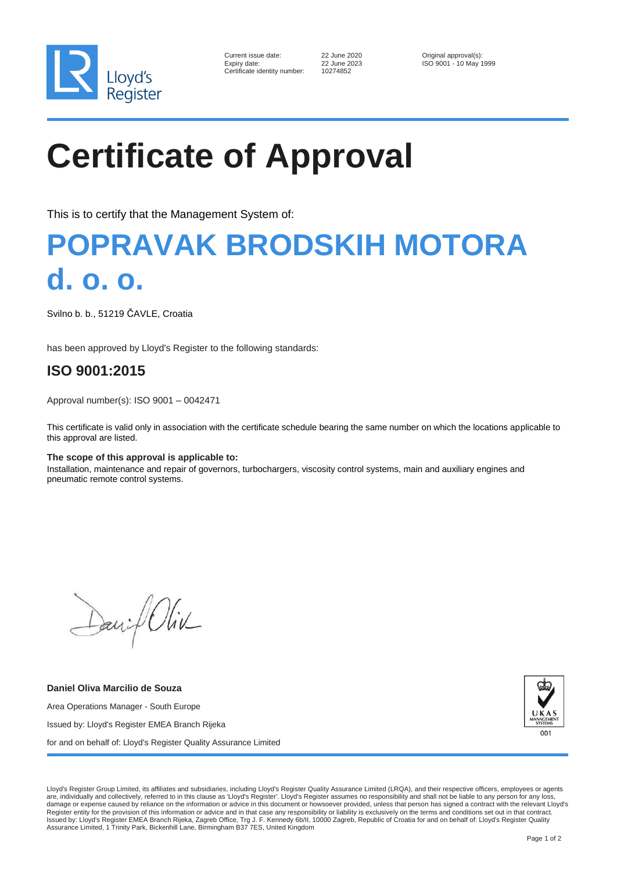

| Current issue date:         |
|-----------------------------|
| Expiry date:                |
| Certificate identity number |

Certificate identity number: 10274852

22 June 2020 **Current issue data Current issues** Original approval(s):<br>22 June 2023 **Current issues** ISO 9001 - 10 May 1 ISO 9001 - 10 May 1999

# **Certificate of Approval**

This is to certify that the Management System of:

### **POPRAVAK BRODSKIH MOTORA d. o. o.**

Svilno b. b., 51219 ČAVLE, Croatia

has been approved by Lloyd's Register to the following standards:

### **ISO 9001:2015**

Approval number(s): ISO 9001 – 0042471

This certificate is valid only in association with the certificate schedule bearing the same number on which the locations applicable to this approval are listed.

### **The scope of this approval is applicable to:**

Installation, maintenance and repair of governors, turbochargers, viscosity control systems, main and auxiliary engines and pneumatic remote control systems.

David Oliv

**Daniel Oliva Marcilio de Souza** Area Operations Manager - South Europe Issued by: Lloyd's Register EMEA Branch Rijeka for and on behalf of: Lloyd's Register Quality Assurance Limited



Lloyd's Register Group Limited, its affiliates and subsidiaries, including Lloyd's Register Quality Assurance Limited (LRQA), and their respective officers, employees or agents are, individually and collectively, referred to in this clause as 'Lloyd's Register'. Lloyd's Register assumes no responsibility and shall not be liable to any person for any loss, damage or expense caused by reliance on the information or advice in this document or howsoever provided, unless that person has signed a contract with the relevant Lloyd's Register entity for the provision of this information or advice and in that case any responsibility or liability is exclusively on the terms and conditions set out in that contract. Issued by: Lloyd's Register EMEA Branch Rijeka, Zagreb Office, Trg J. F. Kennedy 6b/II, 10000 Zagreb, Republic of Croatia for and on behalf of: Lloyd's Register Quality Assurance Limited, 1 Trinity Park, Bickenhill Lane, Birmingham B37 7ES, United Kingdom